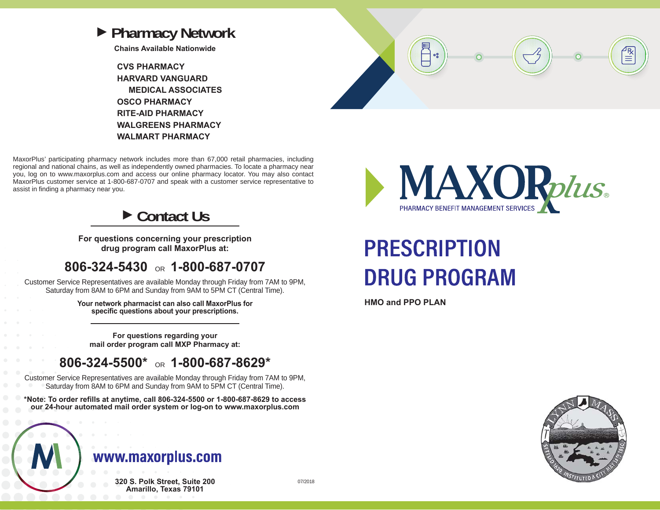

**Chains Available Nationwide**

**CVS PHARMACYHARVARD VANGUARD MEDICAL ASSOCIATESOSCO PHARMACYRITE-AID PHARMACYWALGREENS PHARMACYWALMART PHARMACY**



MaxorPlus' participating pharmacy network includes more than 67,000 retail pharmacies, including regional and national chains, as well as independently owned pharmacies. To locate a pharmacy near you, log on to www.maxorplus.com and access our online pharmacy locator. You may also contact MaxorPlus customer service at 1-800-687-0707 and speak with a customer service representative to assist in finding a pharmacy near you.

### **► Contact Us**

**For questions concerning your prescription drug program call MaxorPlus at:**

### **806-324-5430** OR **1-800-687-0707**

Customer Service Representatives are available Monday through Friday from 7AM to 9PM, Saturday from 8AM to 6PM and Sunday from 9AM to 5PM CT (Central Time).

> **Your network pharmacist can also call MaxorPlus for specific questions about your prescriptions.**

**For questions regarding your mail order program call MXP Pharmacy at:**

### **806-324-5500\*** OR **1-800-687-8629\***

Customer Service Representatives are available Monday through Friday from 7AM to 9PM, Saturday from 8AM to 6PM and Sunday from 9AM to 5PM CT (Central Time).

**\*Note: To order refills at anytime, call 806-324-5500 or 1-800-687-8629 to access our 24-hour automated mail order system or log-on to www.maxorplus.com**

## www.maxorplus.com

**320 S. Polk Street, Suite 200 Amarillo, Texas 79101**



# **PRESCRIPTION DRUG PROGRAM**

**HMO and PPO PLAN**